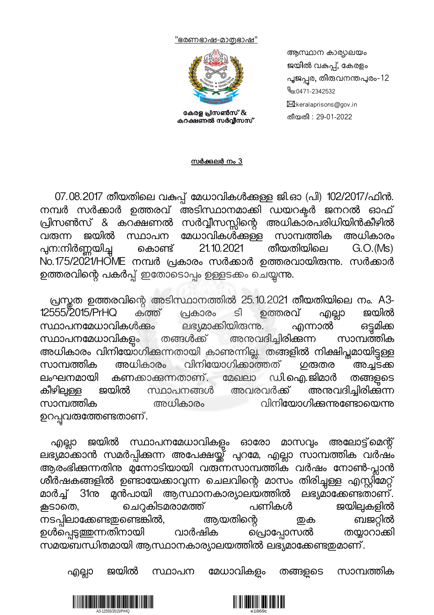<u>''ഭരണഭാഷ-മാതഭാഷ''</u>



കേരള പ്രിസൺസ് & കറക്ഷണൽ സർവ്വീസസ്

ആസ്ഥാന കാര്യാലയം ജയിൽ വകുപ്പ്, കേരളം പൂജപ്പര, തിരുവനന്തപുരം-12 0471-2342532 **M**:keralaprisons@gov.in തീയതി : 29-01-2022

സർക്കുലർ നം  $3$ 

07.08.2017 തീയതിലെ വകപ്പ് മേധാവികൾക്കള്ള ജി.ഓ (പി) 102/2017/ഫിൻ. നമ്പർ സർക്കാർ ഉത്തരവ് അടിസ്ഥാനമാക്കി ഡയറക്ടർ ജനറൽ ഓഫ് പ്രിസൺസ് & കറക്ഷണൽ സർവ്വീസസ്സിന്റെ അധികാരപരിധിയിൻകീഴിൽ<br>വരുന്ന ജയിൽ സ്ഥാപന മേധാവികൾക്കള്ള സാമ്പത്തിക അധികാരം സ്ഥാപന മേധാവികൾക്കള്ള സാമ്പത്തിക അധികാരം<br>; കൊണ്ട് 21.10.2021 തീയതിയിലെ G.O.(Ms) പ്പന:നിർണ്ണയിച്ച No.175/2021/HOME നമ്പർ പ്രകാരം സർക്കാർ ഉത്തരവായിരുന്നു. സർക്കാർ ഉത്തരവിന്റെ പകർപ്പ് ഇതോടൊപ്പം ഉള്ളടക്കം ചെയ്യന്നു.

പ്രസ്തത ഉത്തരവിന്റെ അടിസ്ഥാനത്തിൽ 25.10.2021 തീയതിയിലെ നം. A3-<br>555/2015/PrHQ കത്ത് പ്രകാരം ടി ഉത്തരവ് എല്ലാ ജയിൽ 12555/2015/PrHQ കത്ത് പ്രകാരം ടി ഉത്തരവ് എല്ലാ ജയിൽ<br>സ്ഥാപനമേധാവികൾക്കം ലഭ്യമാക്കിയിരുന്നു. എന്നാൽ ഒട്ടമിക്ക സ്ഥാപനമേധാവികൾക്കം ലഭ്യമാക്കിയിരുന്നു. എന്നാൽ<br>സ്ഥാപനമേധാവികളം തങ്ങൾക്ക് അനുവദിച്ചിരിക്കുന്ന സ്ഥാപനമേധാവികളം തങ്ങൾക്ക് അനുവദിച്ചിരിക്കുന്ന സാമ്പത്തിക അധികാരം വിനിയോഗിക്കന്നതായി കാണന്നില്ല. തങ്ങളിൽ നിക്ഷിപ്തമായിട്ടുള്ള<br>സാമ്പത്തിക അധികാരം വിനിയോഗിക്കാത്തത് ഗതരേര അച്ചടക്ക വിനിയോഗിക്കാത്തത് ഗതരുരെ അച്ചടക്ക ലംഘനമായി കണക്കാക്കുന്നതാണ്. മേഖലാ ഡി.ഐ.ജിമാർ തങ്ങളുടെ<br>കീഴിലുള്ള ജയിൽ സ്ഥാപനങ്ങൾ അവരവർക്ക് അനുവദിച്ചിരിക്കുന്ന ഡ്ഥാപനങ്ങൾ അവരവർക്ക് അന്മവദിച്ചിരിക്കുന്ന<br>അധികാരം സാമ്പത്തിക അധികാരം വിനിയോഗിക്കന്നണ്ടോയെന്നു ഉറപ്പവരുത്തേണ്ടതാണ്.

എല്ലാ ജയിൽ സ്ഥാപനമേധാവികളം ഓരോ മാസവും അലോട്ട്മെന്റ് ലഭ്യമാക്കാൻ സമർപ്പിക്കുന്ന അപേക്ഷയ്ക്ക് പുറമേ, എല്ലാ സാമ്പത്തിക വർഷം ആരംഭിക്കുന്നതിനു മുന്നോടിയായി വരുന്നസാമ്പത്തിക വർഷം നോൺ-പ്ലാൻ ശീർഷകങ്ങളിൽ ഉണ്ടായേക്കാവുന്ന ചെലവിന്റെ മാസം തിരിച്ചുള്ള എസ്റ്റിമേറ്റ് മാർച്ച് 31ന് മുൻപായി ആസ്ഥാനകാര്യാലയത്തിൽ ലഭ്യമാക്കേണ്ടതാണ്.<br>കൂടാതെ, ചെറുകിടമരാമത്ത് പണികൾ ജയില്പകളിൽ <mark>ക</mark>്ടാതെ, ചെറുകിടമരാമത്ത് പണികൾ ജയിലുകളിൽ<br>നടപ്പിലാക്കേണ്ടഇണ്ടെങ്കിൽ, ആയതിന്റെ ഇക ബജറ്റിൽ നടപ്പിലാക്കേണ്ടഇണ്ടെങ്കിൽ, ആയതിന്റെ ബജറ്റിൽ<br>ഉൾപ്പെടുഇ്തന്നതിനായി വാർഷിക പ്രൊപ്പോസൽ തയ്യാറാക്കി ഉൾപെടുത്തന്നതിനായി സമയബന്ധിതമായി ആസ്ഥാനകാര്യാലയത്തിൽ ലഭ്യമാക്കേണ്ടഇമാണ്.

എല്ലാ ജയിൽ സ്ഥാപന മേധാവികളം തങ്ങളടെ സാമ്പത്തിക



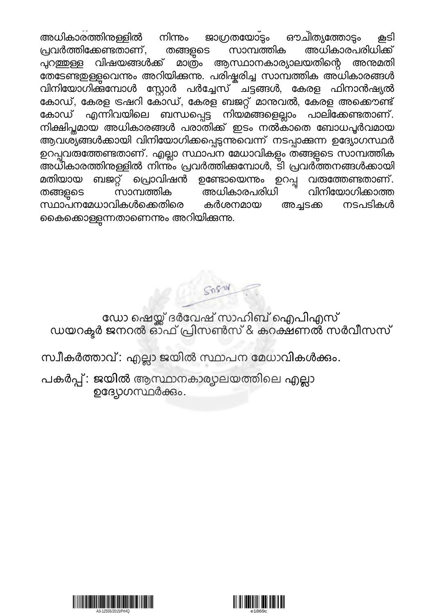$\mathbb{R}^2$ യി , തി $\mathbb{R}^2$ യി , തി $\mathbb{R}^2$ യി , തി $\mathbb{R}^2$ അധികാരത്തിനള്ളിൽ നിന്നം ജാഗ്രതയോ്ട്ടം ഔചിത്യത്തോട്ടം കൂടി<br>പ്രവർത്തിക്കേണ്ടതാണ്, തങ്ങളുടെ സാമ്പത്തിക അധികാരപരിധിക്ക് സാമ്പത്തിക അധികാരപരിധിക്ക് പുറ<u>ഞ്</u>ഞള്ള വിഷയങ്ങൾക്ക് മാത്രം ആസ്ഥാനകാര്യാലയതിന്റെ അന്മമതി തേടേണ്ടഇള്ളവെന്നും അറിയിക്കന്നു. പരിഷ്ടരിച്ച സാമ്പത്തിക അധികാരങ്ങൾ വിനിയോഗിക്ക്മ്പോൾ സ്റ്റോർ പർച്ചേസ് ചട്ടങ്ങൾ, കേരള ഫിനാൻഷ്യൽ കോഡ്, കേരള ട്രഷറി കോസ്, കേരള ബജറ്റ് മാന്തവൽ, കേരള അക്കൌണ്ട്<br>കോഡ് എന്നിവയിലെ ബന്ധപെട്ട നിയമങ്ങളെല്ലാം പാലിക്കേണ്ടതാണ്. .എന്നിവയിലെ ബന്ധപ്പെട്ട നിയമങ്ങളെല്ലാം പാലിക്കേണ്ടതാണ്. നിക്ഷിപ്തമായ അധികാരങ്ങൾ പരാതിക്ക് ഇടം നൽകാതെ ബോധപൂർവമായ ആവശ്യ്ങങൾക്കായി വിനിയോഗിക്കപ്പെടുന്നുവെന്ന് നടപ്പാക്കുന്ന ഉദ്യോഗസ്ഥർ ഉറപ്പവരുത്തേണ്ടതാണ്. എല്ലാ സ്ഥാപന മേധാവികളും തങ്ങളുടെ സാമ്പത്തിക അധികാരത്തിനള്ളിൽ നിന്ന്ം പ്രവർത്തിക്കമ്പോൾ, ടി പ്രവർത്തനങ്ങൾക്കായി<br>മതിയായ ബജറ്റ് പ്രൊവിഷൻ ഉണ്ടോയെന്നും ഉറപ്പ വതത്തേണ്ടതാണ്. ബജറ്റ് പ്രൊവിഷൻ ഉണ്ടോയെന്നം ഉറപ്പ വരുത്തേണ്ടതാണ്.<br>സാമ്പത്തിക അധികാരപരിധി വിനിയോഗിക്കാത്ത തങ്ങളുടെ സാമ്പത്തിക അധികാരപരിധി <sup>"-</sup> വിനിയോഗിക്കാത്ത<br>സ്ഥാപനമേധാവികൾക്കെതിരെ കർശനമായ അച്ചടക്ക നടപടികൾ സ്ഥാപനമേധാവികൾക്കെതിരെ കർശനമായ കൈക്കൊള്ളുന്നതാണെന്നും അറിയിക്കുന്നു.

Spend

ഡോ ഷെയ്ക്ക ദരവേഷ സാഹിബ ഐപിഎസ ഡയറക്ടർ ജനറൽ ഓഫ പ്രിസൺസ & കറക്ഷണൽ സർവിസസ

സ്വീകർത്താവ്: എല്ലാ ജയിൽ സ്ഥാപന മേധാവികൾക്കും.

പകർപ്പ് : ജയിൽ ആസ്ഥാനകാര്യാലയത്തിലെ എല്ലാ ഉദ്യോഗസ്ഥർക്കും.



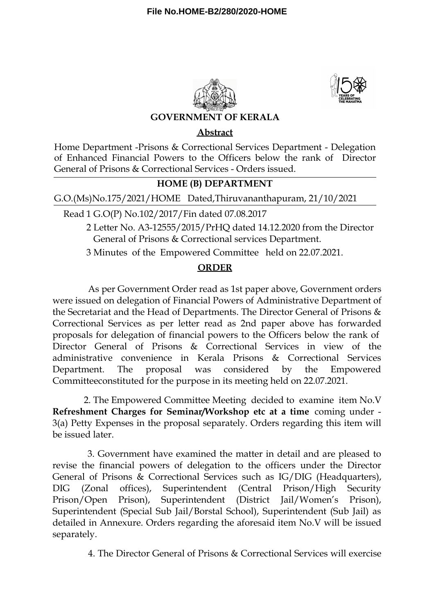



## **GOVERNMENT OF KERALA**

## **Abstract**

Home Department -Prisons & Correctional Services Department - Delegation of Enhanced Financial Powers to the Officers below the rank of Director General of Prisons & Correctional Services - Orders issued.

## **HOME (B) DEPARTMENT**

G.O.(Ms)No.175/2021/HOME Dated,Thiruvananthapuram, 21/10/2021

Read 1 G.O(P) No.102/2017/Fin dated 07.08.2017

2 Letter No. A3-12555/2015/PrHQ dated 14.12.2020 from the Director General of Prisons & Correctional services Department.

3 Minutes of the Empowered Committee held on 22.07.2021.

## **ORDER**

As per Government Order read as 1st paper above, Government orders were issued on delegation of Financial Powers of Administrative Department of the Secretariat and the Head of Departments. The Director General of Prisons & Correctional Services as per letter read as 2nd paper above has forwarded proposals for delegation of financial powers to the Officers below the rank of Director General of Prisons & Correctional Services in view of the administrative convenience in Kerala Prisons & Correctional Services Department. The proposal was considered by the Empowered Committeeconstituted for the purpose in its meeting held on 22.07.2021.

2. The Empowered Committee Meeting decided to examine item No.V **Refreshment Charges for Seminar/Workshop etc at a time** coming under - 3(a) Petty Expenses in the proposal separately. Orders regarding this item will be issued later.

3. Government have examined the matter in detail and are pleased to revise the financial powers of delegation to the officers under the Director General of Prisons & Correctional Services such as IG/DIG (Headquarters), DIG (Zonal offices), Superintendent (Central Prison/High Security Prison/Open Prison), Superintendent (District Jail/Women's Prison), Superintendent (Special Sub Jail/Borstal School), Superintendent (Sub Jail) as detailed in Annexure. Orders regarding the aforesaid item No.V will be issued separately.

4. The Director General of Prisons & Correctional Services will exercise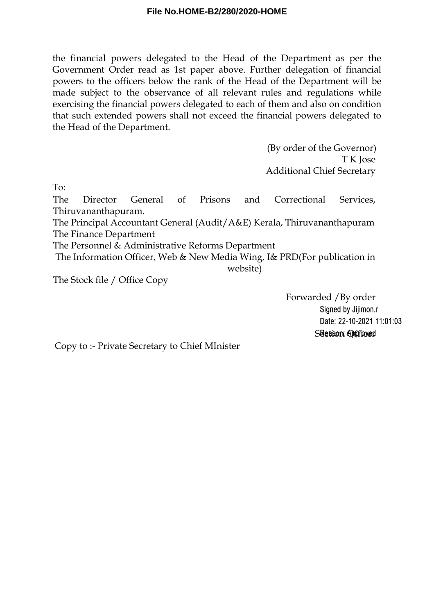the financial powers delegated to the Head of the Department as per the Government Order read as 1st paper above. Further delegation of financial powers to the officers below the rank of the Head of the Department will be made subject to the observance of all relevant rules and regulations while exercising the financial powers delegated to each of them and also on condition that such extended powers shall not exceed the financial powers delegated to the Head of the Department.

> (By order of the Governor) T K Jose Additional Chief Secretary

To:

The Director General of Prisons and Correctional Services, Thiruvananthapuram.

The Principal Accountant General (Audit/A&E) Kerala, Thiruvananthapuram The Finance Department

The Personnel & Administrative Reforms Department

The Information Officer, Web & New Media Wing, I& PRD(For publication in website)

The Stock file / Office Copy

Forwarded /By order Signed by Jijimon.r Date: 22-10-2021 11:01:03 SBearon Orffrored

Copy to :- Private Secretary to Chief MInister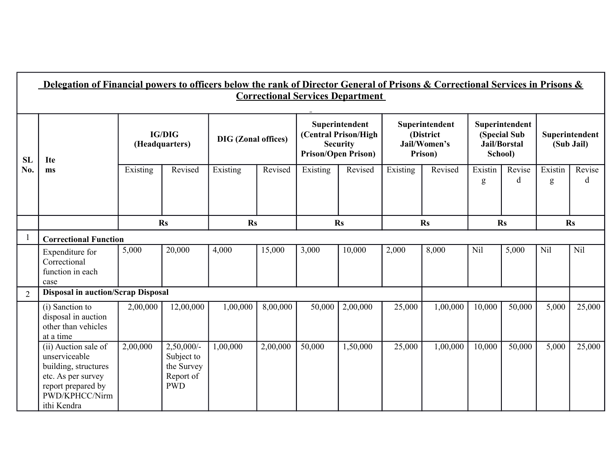|                | Delegation of Financial powers to officers below the rank of Director General of Prisons & Correctional Services in Prisons &<br><b>Correctional Services Department</b> |                                 |                                                                      |                            |          |          |                                                                                         |          |                                                        |              |                                                                  |                              |             |
|----------------|--------------------------------------------------------------------------------------------------------------------------------------------------------------------------|---------------------------------|----------------------------------------------------------------------|----------------------------|----------|----------|-----------------------------------------------------------------------------------------|----------|--------------------------------------------------------|--------------|------------------------------------------------------------------|------------------------------|-------------|
| <b>SL</b>      | <b>Ite</b>                                                                                                                                                               | <b>IG/DIG</b><br>(Headquarters) |                                                                      | <b>DIG</b> (Zonal offices) |          |          | Superintendent<br>(Central Prison/High<br><b>Security</b><br><b>Prison/Open Prison)</b> |          | Superintendent<br>(District<br>Jail/Women's<br>Prison) |              | Superintendent<br>(Special Sub<br><b>Jail/Borstal</b><br>School) | Superintendent<br>(Sub Jail) |             |
| No.            | ms                                                                                                                                                                       | Existing                        | Revised                                                              | Existing                   | Revised  | Existing | Revised                                                                                 | Existing | Revised                                                | Existin<br>g | Revise<br>d                                                      | Existin<br>g                 | Revise<br>d |
|                |                                                                                                                                                                          |                                 | <b>Rs</b>                                                            | $\mathbf{Rs}$              |          |          | $\mathbf{R}s$                                                                           |          | <b>Rs</b>                                              |              | <b>Rs</b>                                                        |                              | <b>Rs</b>   |
| -1             | <b>Correctional Function</b>                                                                                                                                             |                                 |                                                                      |                            |          |          |                                                                                         |          |                                                        |              |                                                                  |                              |             |
|                | Expenditure for<br>Correctional<br>function in each<br>case                                                                                                              | 5,000                           | 20,000                                                               | 4,000                      | 15,000   | 3,000    | 10,000                                                                                  | 2,000    | 8,000                                                  | Nil          | 5,000                                                            | Nil                          | Nil         |
| $\overline{2}$ | <b>Disposal in auction/Scrap Disposal</b>                                                                                                                                |                                 |                                                                      |                            |          |          |                                                                                         |          |                                                        |              |                                                                  |                              |             |
|                | (i) Sanction to<br>disposal in auction<br>other than vehicles<br>at a time                                                                                               | 2,00,000                        | 12,00,000                                                            | 1,00,000                   | 8,00,000 | 50,000   | 2,00,000                                                                                | 25,000   | 1,00,000                                               | 10,000       | 50,000                                                           | 5,000                        | 25,000      |
|                | (ii) Auction sale of<br>unserviceable<br>building, structures<br>etc. As per survey<br>report prepared by<br>PWD/KPHCC/Nirm<br>ithi Kendra                               | 2,00,000                        | $2,50,000/$ -<br>Subject to<br>the Survey<br>Report of<br><b>PWD</b> | 1,00,000                   | 2,00,000 | 50,000   | 1,50,000                                                                                | 25,000   | 1,00,000                                               | 10,000       | 50,000                                                           | 5,000                        | 25,000      |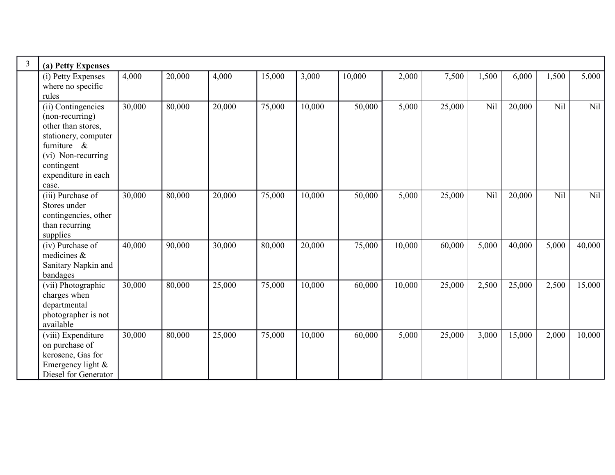| $\overline{3}$ | (a) Petty Expenses                                                                                                                                                        |        |        |        |        |        |        |        |        |       |        |       |        |
|----------------|---------------------------------------------------------------------------------------------------------------------------------------------------------------------------|--------|--------|--------|--------|--------|--------|--------|--------|-------|--------|-------|--------|
|                | (i) Petty Expenses<br>where no specific<br>rules                                                                                                                          | 4,000  | 20,000 | 4,000  | 15,000 | 3,000  | 10,000 | 2,000  | 7,500  | 1,500 | 6,000  | 1,500 | 5,000  |
|                | (ii) Contingencies<br>(non-recurring)<br>other than stores,<br>stationery, computer<br>furniture $\&$<br>(vi) Non-recurring<br>contingent<br>expenditure in each<br>case. | 30,000 | 80,000 | 20,000 | 75,000 | 10,000 | 50,000 | 5,000  | 25,000 | Nil   | 20,000 | Nil   | Nil    |
|                | (iii) Purchase of<br>Stores under<br>contingencies, other<br>than recurring<br>supplies                                                                                   | 30,000 | 80,000 | 20,000 | 75,000 | 10,000 | 50,000 | 5,000  | 25,000 | Nil   | 20,000 | Nil   | Nil    |
|                | (iv) Purchase of<br>medicines $\&$<br>Sanitary Napkin and<br>bandages                                                                                                     | 40,000 | 90,000 | 30,000 | 80,000 | 20,000 | 75,000 | 10,000 | 60,000 | 5,000 | 40,000 | 5,000 | 40,000 |
|                | (vii) Photographic<br>charges when<br>departmental<br>photographer is not<br>available                                                                                    | 30,000 | 80,000 | 25,000 | 75,000 | 10,000 | 60,000 | 10,000 | 25,000 | 2,500 | 25,000 | 2,500 | 15,000 |
|                | (viii) Expenditure<br>on purchase of<br>kerosene, Gas for<br>Emergency light $&$<br>Diesel for Generator                                                                  | 30,000 | 80,000 | 25,000 | 75,000 | 10,000 | 60,000 | 5,000  | 25,000 | 3,000 | 15,000 | 2,000 | 10,000 |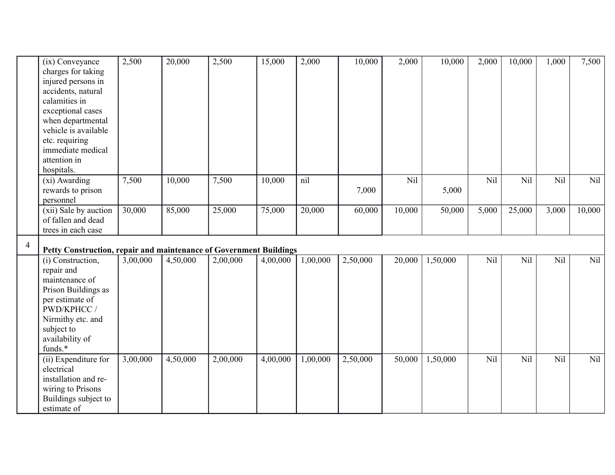|                | (ix) Conveyance                                                                         | 2,500    | 20,000   | 2,500    | 15,000   | 2,000    | 10,000   | 2,000  | 10,000   | 2,000 | 10,000 | 1,000 | 7,500  |
|----------------|-----------------------------------------------------------------------------------------|----------|----------|----------|----------|----------|----------|--------|----------|-------|--------|-------|--------|
|                | charges for taking                                                                      |          |          |          |          |          |          |        |          |       |        |       |        |
|                | injured persons in                                                                      |          |          |          |          |          |          |        |          |       |        |       |        |
|                | accidents, natural                                                                      |          |          |          |          |          |          |        |          |       |        |       |        |
|                | calamities in                                                                           |          |          |          |          |          |          |        |          |       |        |       |        |
|                | exceptional cases                                                                       |          |          |          |          |          |          |        |          |       |        |       |        |
|                | when departmental                                                                       |          |          |          |          |          |          |        |          |       |        |       |        |
|                | vehicle is available                                                                    |          |          |          |          |          |          |        |          |       |        |       |        |
|                | etc. requiring                                                                          |          |          |          |          |          |          |        |          |       |        |       |        |
|                | immediate medical                                                                       |          |          |          |          |          |          |        |          |       |        |       |        |
|                | attention in                                                                            |          |          |          |          |          |          |        |          |       |        |       |        |
|                | hospitals.                                                                              |          |          |          |          |          |          |        |          |       |        |       |        |
|                | (xi) Awarding                                                                           | 7,500    | 10,000   | 7,500    | 10,000   | nil      |          | Nil    |          | Nil   | Nil    | Nil   | Nil    |
|                | rewards to prison                                                                       |          |          |          |          |          | 7,000    |        | 5,000    |       |        |       |        |
|                | personnel                                                                               |          |          |          |          |          |          |        |          |       |        |       |        |
|                | (xii) Sale by auction                                                                   | 30,000   | 85,000   | 25,000   | 75,000   | 20,000   | 60,000   | 10,000 | 50,000   | 5,000 | 25,000 | 3,000 | 10,000 |
|                | of fallen and dead                                                                      |          |          |          |          |          |          |        |          |       |        |       |        |
|                | trees in each case                                                                      |          |          |          |          |          |          |        |          |       |        |       |        |
|                |                                                                                         |          |          |          |          |          |          |        |          |       |        |       |        |
| $\overline{4}$ |                                                                                         |          |          |          |          |          |          |        |          |       |        |       |        |
|                | Petty Construction, repair and maintenance of Government Buildings<br>(i) Construction, | 3,00,000 | 4,50,000 | 2,00,000 | 4,00,000 | 1,00,000 | 2,50,000 | 20,000 | 1,50,000 | Nil   | Nil    | Nil   | Nil    |
|                | repair and                                                                              |          |          |          |          |          |          |        |          |       |        |       |        |
|                | maintenance of                                                                          |          |          |          |          |          |          |        |          |       |        |       |        |
|                | Prison Buildings as                                                                     |          |          |          |          |          |          |        |          |       |        |       |        |
|                | per estimate of                                                                         |          |          |          |          |          |          |        |          |       |        |       |        |
|                | PWD/KPHCC /                                                                             |          |          |          |          |          |          |        |          |       |        |       |        |
|                | Nirmithy etc. and                                                                       |          |          |          |          |          |          |        |          |       |        |       |        |
|                | subject to                                                                              |          |          |          |          |          |          |        |          |       |        |       |        |
|                | availability of                                                                         |          |          |          |          |          |          |        |          |       |        |       |        |
|                | funds.*                                                                                 |          |          |          |          |          |          |        |          |       |        |       |        |
|                | (ii) Expenditure for                                                                    | 3,00,000 | 4,50,000 | 2,00,000 | 4,00,000 | 1,00,000 | 2,50,000 | 50,000 | 1,50,000 | Nil   | Nil    | Nil   | Nil    |
|                | electrical                                                                              |          |          |          |          |          |          |        |          |       |        |       |        |
|                | installation and re-                                                                    |          |          |          |          |          |          |        |          |       |        |       |        |
|                | wiring to Prisons                                                                       |          |          |          |          |          |          |        |          |       |        |       |        |
|                | Buildings subject to<br>estimate of                                                     |          |          |          |          |          |          |        |          |       |        |       |        |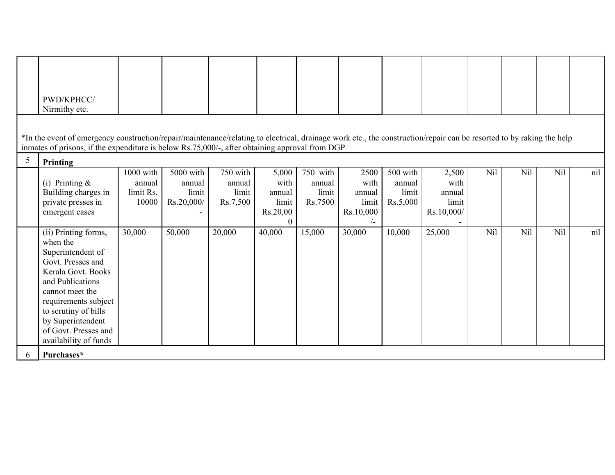|   | PWD/KPHCC/                                                                                                                                                                                                                                                             |                                           |                                            |                                         |                                                          |                                        |                                                            |                                         |                                                |     |     |            |     |
|---|------------------------------------------------------------------------------------------------------------------------------------------------------------------------------------------------------------------------------------------------------------------------|-------------------------------------------|--------------------------------------------|-----------------------------------------|----------------------------------------------------------|----------------------------------------|------------------------------------------------------------|-----------------------------------------|------------------------------------------------|-----|-----|------------|-----|
|   | Nirmithy etc.                                                                                                                                                                                                                                                          |                                           |                                            |                                         |                                                          |                                        |                                                            |                                         |                                                |     |     |            |     |
|   | *In the event of emergency construction/repair/maintenance/relating to electrical, drainage work etc., the construction/repair can be resorted to by raking the help<br>inmates of prisons, if the expenditure is below Rs.75,000/-, after obtaining approval from DGP |                                           |                                            |                                         |                                                          |                                        |                                                            |                                         |                                                |     |     |            |     |
| 5 | Printing                                                                                                                                                                                                                                                               |                                           |                                            |                                         |                                                          |                                        |                                                            |                                         |                                                |     |     |            |     |
|   | (i) Printing $\&$<br>Building charges in<br>private presses in<br>emergent cases                                                                                                                                                                                       | 1000 with<br>annual<br>limit Rs.<br>10000 | 5000 with<br>annual<br>limit<br>Rs.20,000/ | 750 with<br>annual<br>limit<br>Rs.7,500 | 5,000<br>with<br>annual<br>limit<br>Rs.20,00<br>$\Omega$ | 750 with<br>annual<br>limit<br>Rs.7500 | 2500<br>with<br>annual<br>limit<br>Rs.10,000<br>$\sqrt{-}$ | 500 with<br>annual<br>limit<br>Rs.5,000 | 2,500<br>with<br>annual<br>limit<br>Rs.10,000/ | Nil | Nil | Nil        | nil |
|   | (ii) Printing forms,<br>when the<br>Superintendent of<br>Govt. Presses and<br>Kerala Govt. Books<br>and Publications<br>cannot meet the<br>requirements subject<br>to scrutiny of bills<br>by Superintendent<br>of Govt. Presses and<br>availability of funds          | 30,000                                    | 50,000                                     | 20,000                                  | 40,000                                                   | 15,000                                 | 30,000                                                     | 10,000                                  | 25,000                                         | Nil | Nil | <b>Nil</b> | nil |
| 6 | Purchases*                                                                                                                                                                                                                                                             |                                           |                                            |                                         |                                                          |                                        |                                                            |                                         |                                                |     |     |            |     |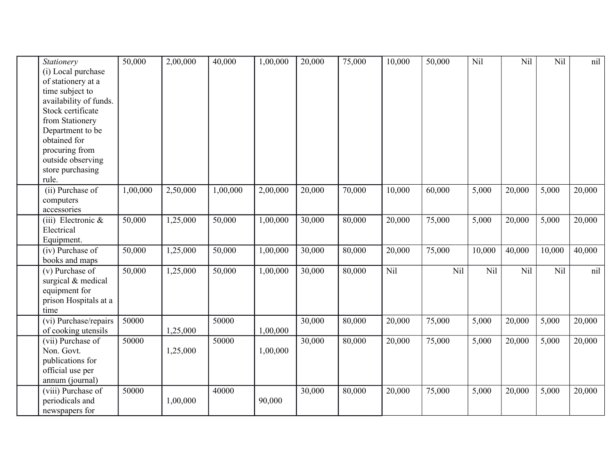| Stationery             | 50,000   | 2,00,000 | 40,000   | 1,00,000 | 20,000 | 75,000 | 10,000 | 50,000 | Nil    | Nil    | Nil    | nil    |
|------------------------|----------|----------|----------|----------|--------|--------|--------|--------|--------|--------|--------|--------|
| (i) Local purchase     |          |          |          |          |        |        |        |        |        |        |        |        |
| of stationery at a     |          |          |          |          |        |        |        |        |        |        |        |        |
| time subject to        |          |          |          |          |        |        |        |        |        |        |        |        |
| availability of funds. |          |          |          |          |        |        |        |        |        |        |        |        |
| Stock certificate      |          |          |          |          |        |        |        |        |        |        |        |        |
| from Stationery        |          |          |          |          |        |        |        |        |        |        |        |        |
| Department to be       |          |          |          |          |        |        |        |        |        |        |        |        |
| obtained for           |          |          |          |          |        |        |        |        |        |        |        |        |
| procuring from         |          |          |          |          |        |        |        |        |        |        |        |        |
| outside observing      |          |          |          |          |        |        |        |        |        |        |        |        |
| store purchasing       |          |          |          |          |        |        |        |        |        |        |        |        |
| rule.                  |          |          |          |          |        |        |        |        |        |        |        |        |
| (ii) Purchase of       | 1,00,000 | 2,50,000 | 1,00,000 | 2,00,000 | 20,000 | 70,000 | 10,000 | 60,000 | 5,000  | 20,000 | 5,000  | 20,000 |
| computers              |          |          |          |          |        |        |        |        |        |        |        |        |
| accessories            |          |          |          |          |        |        |        |        |        |        |        |        |
| (iii) Electronic $\&$  | 50,000   | 1,25,000 | 50,000   | 1,00,000 | 30,000 | 80,000 | 20,000 | 75,000 | 5,000  | 20,000 | 5,000  | 20,000 |
| Electrical             |          |          |          |          |        |        |        |        |        |        |        |        |
| Equipment.             |          |          |          |          |        |        |        |        |        |        |        |        |
| (iv) Purchase of       | 50,000   | 1,25,000 | 50,000   | 1,00,000 | 30,000 | 80,000 | 20,000 | 75,000 | 10,000 | 40,000 | 10,000 | 40,000 |
| books and maps         |          |          |          |          |        |        |        |        |        |        |        |        |
| (v) Purchase of        | 50,000   | 1,25,000 | 50,000   | 1,00,000 | 30,000 | 80,000 | Nil    | Nil    | Nil    | Nil    | Nil    | nil    |
| surgical & medical     |          |          |          |          |        |        |        |        |        |        |        |        |
| equipment for          |          |          |          |          |        |        |        |        |        |        |        |        |
| prison Hospitals at a  |          |          |          |          |        |        |        |        |        |        |        |        |
| time                   |          |          |          |          |        |        |        |        |        |        |        |        |
| (vi) Purchase/repairs  | 50000    |          | 50000    |          | 30,000 | 80,000 | 20,000 | 75,000 | 5,000  | 20,000 | 5,000  | 20,000 |
| of cooking utensils    |          | 1,25,000 |          | 1,00,000 |        |        |        |        |        |        |        |        |
| (vii) Purchase of      | 50000    |          | 50000    |          | 30,000 | 80,000 | 20,000 | 75,000 | 5,000  | 20,000 | 5,000  | 20,000 |
| Non. Govt.             |          | 1,25,000 |          | 1,00,000 |        |        |        |        |        |        |        |        |
| publications for       |          |          |          |          |        |        |        |        |        |        |        |        |
| official use per       |          |          |          |          |        |        |        |        |        |        |        |        |
| annum (journal)        |          |          |          |          |        |        |        |        |        |        |        |        |
| (viii) Purchase of     | 50000    |          | 40000    |          | 30,000 | 80,000 | 20,000 | 75,000 | 5,000  | 20,000 | 5,000  | 20,000 |
| periodicals and        |          | 1,00,000 |          | 90,000   |        |        |        |        |        |        |        |        |
| newspapers for         |          |          |          |          |        |        |        |        |        |        |        |        |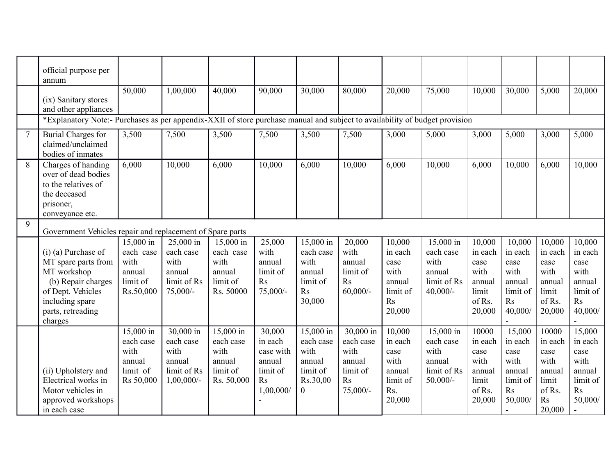|                | official purpose per<br>annum                                                                                                                             |                                                                   |                                                                          |                                                                    |                                                                                     |                                                                                    |                                                                        |                                                                          |                                                                        |                                                                          |                                                                                      |                                                                                           |                                                                                      |
|----------------|-----------------------------------------------------------------------------------------------------------------------------------------------------------|-------------------------------------------------------------------|--------------------------------------------------------------------------|--------------------------------------------------------------------|-------------------------------------------------------------------------------------|------------------------------------------------------------------------------------|------------------------------------------------------------------------|--------------------------------------------------------------------------|------------------------------------------------------------------------|--------------------------------------------------------------------------|--------------------------------------------------------------------------------------|-------------------------------------------------------------------------------------------|--------------------------------------------------------------------------------------|
|                | (ix) Sanitary stores<br>and other appliances                                                                                                              | 50,000                                                            | 1,00,000                                                                 | 40,000                                                             | 90,000                                                                              | 30,000                                                                             | 80,000                                                                 | 20,000                                                                   | 75,000                                                                 | 10,000                                                                   | 30,000                                                                               | 5,000                                                                                     | 20,000                                                                               |
|                | *Explanatory Note:- Purchases as per appendix-XXII of store purchase manual and subject to availability of budget provision                               |                                                                   |                                                                          |                                                                    |                                                                                     |                                                                                    |                                                                        |                                                                          |                                                                        |                                                                          |                                                                                      |                                                                                           |                                                                                      |
| $\overline{7}$ | <b>Burial Charges for</b><br>claimed/unclaimed<br>bodies of inmates                                                                                       | 3,500                                                             | 7,500                                                                    | 3,500                                                              | 7,500                                                                               | 3,500                                                                              | 7,500                                                                  | 3,000                                                                    | 5,000                                                                  | 3,000                                                                    | 5,000                                                                                | 3,000                                                                                     | 5,000                                                                                |
| 8              | Charges of handing<br>over of dead bodies<br>to the relatives of<br>the deceased<br>prisoner,<br>conveyance etc.                                          | 6,000                                                             | 10,000                                                                   | 6,000                                                              | 10,000                                                                              | 6,000                                                                              | 10,000                                                                 | 6,000                                                                    | 10,000                                                                 | 6,000                                                                    | 10,000                                                                               | 6,000                                                                                     | 10,000                                                                               |
| 9              | Government Vehicles repair and replacement of Spare parts                                                                                                 |                                                                   |                                                                          |                                                                    |                                                                                     |                                                                                    |                                                                        |                                                                          |                                                                        |                                                                          |                                                                                      |                                                                                           |                                                                                      |
|                | $(i)$ (a) Purchase of<br>MT spare parts from<br>MT workshop<br>(b) Repair charges<br>of Dept. Vehicles<br>including spare<br>parts, retreading<br>charges | 15,000 in<br>each case<br>with<br>annual<br>limit of<br>Rs.50,000 | 25,000 in<br>each case<br>with<br>annual<br>limit of Rs<br>$75,000/-$    | 15,000 in<br>each case<br>with<br>annual<br>limit of<br>Rs. 50000  | 25,000<br>with<br>annual<br>limit of<br>R <sub>S</sub><br>$75,000/$ -               | 15,000 in<br>each case<br>with<br>annual<br>limit of<br>R <sub>S</sub><br>30,000   | 20,000<br>with<br>annual<br>limit of<br>R <sub>S</sub><br>$60,000/$ -  | 10,000<br>in each<br>case<br>with<br>annual<br>limit of<br>Rs<br>20,000  | 15,000 in<br>each case<br>with<br>annual<br>limit of Rs<br>$40,000/-$  | 10,000<br>in each<br>case<br>with<br>annual<br>limit<br>of Rs.<br>20,000 | 10,000<br>in each<br>case<br>with<br>annual<br>limit of<br>R <sub>S</sub><br>40,000/ | 10,000<br>in each<br>case<br>with<br>annual<br>limit<br>of Rs.<br>20,000                  | 10,000<br>in each<br>case<br>with<br>annual<br>limit of<br>R <sub>S</sub><br>40,000/ |
|                | (ii) Upholstery and<br>Electrical works in<br>Motor vehicles in<br>approved workshops<br>in each case                                                     | 15,000 in<br>each case<br>with<br>annual<br>limit of<br>Rs 50,000 | 30,000 in<br>each case<br>with<br>annual<br>limit of Rs<br>$1,00,000/$ - | 15,000 in<br>each case<br>with<br>annual<br>limit of<br>Rs. 50,000 | 30,000<br>in each<br>case with<br>annual<br>limit of<br>R <sub>S</sub><br>1,00,000/ | $15,000$ in<br>each case<br>with<br>annual<br>limit of<br>Rs.30,00<br>$\mathbf{0}$ | 30,000 in<br>each case<br>with<br>annual<br>limit of<br>Rs<br>75,000/- | 10,000<br>in each<br>case<br>with<br>annual<br>limit of<br>Rs.<br>20,000 | 15,000 in<br>each case<br>with<br>annual<br>limit of Rs<br>$50,000/$ - | 10000<br>in each<br>case<br>with<br>annual<br>limit<br>of Rs.<br>20,000  | 15,000<br>in each<br>case<br>with<br>annual<br>limit of<br>R <sub>S</sub><br>50,000/ | 10000<br>in each<br>case<br>with<br>annual<br>limit<br>of Rs.<br>$\mathbf{R}$ s<br>20,000 | 15,000<br>in each<br>case<br>with<br>annual<br>limit of<br>Rs<br>50,000/             |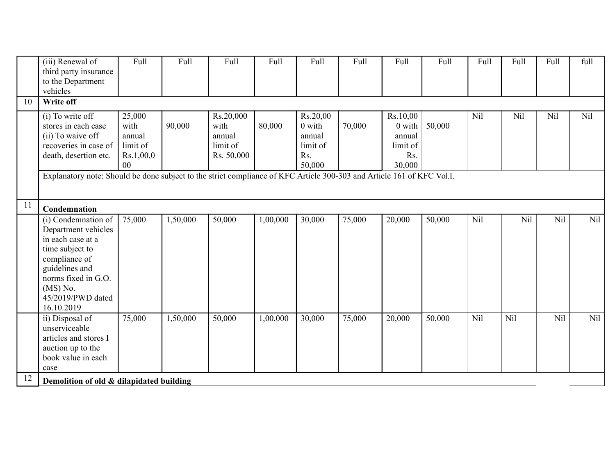|    | (iii) Renewal of<br>third party insurance<br>to the Department<br>vehicles                                                                                                                    | Full                                                    | Full     | Full                                                  | Full     | Full                                                      | Full   | Full                                                      | Full   | Full | Full | Full | full |
|----|-----------------------------------------------------------------------------------------------------------------------------------------------------------------------------------------------|---------------------------------------------------------|----------|-------------------------------------------------------|----------|-----------------------------------------------------------|--------|-----------------------------------------------------------|--------|------|------|------|------|
| 10 | Write off                                                                                                                                                                                     |                                                         |          |                                                       |          |                                                           |        |                                                           |        |      |      |      |      |
|    | (i) To write off<br>stores in each case<br>(ii) To waive off<br>recoveries in case of<br>death, desertion etc.                                                                                | 25,000<br>with<br>annual<br>limit of<br>Rs.1,00,0<br>00 | 90,000   | Rs.20,000<br>with<br>annual<br>limit of<br>Rs. 50,000 | 80,000   | Rs.20,00<br>0 with<br>annual<br>limit of<br>Rs.<br>50,000 | 70,000 | Rs.10,00<br>0 with<br>annual<br>limit of<br>Rs.<br>30,000 | 50,000 | Nil  | Nil  | Nil  | Nil  |
|    | Explanatory note: Should be done subject to the strict compliance of KFC Article 300-303 and Article 161 of KFC Vol.I.                                                                        |                                                         |          |                                                       |          |                                                           |        |                                                           |        |      |      |      |      |
| 11 | Condemnation                                                                                                                                                                                  |                                                         |          |                                                       |          |                                                           |        |                                                           |        |      |      |      |      |
|    | (i) Condemnation of<br>Department vehicles<br>in each case at a<br>time subject to<br>compliance of<br>guidelines and<br>norms fixed in G.O.<br>$(MS)$ No.<br>45/2019/PWD dated<br>16.10.2019 | 75,000                                                  | 1,50,000 | 50,000                                                | 1,00,000 | 30,000                                                    | 75,000 | 20,000                                                    | 50,000 | Nil  | Nil  | Nil  | Nil  |
|    | ii) Disposal of<br>unserviceable<br>articles and stores I<br>auction up to the<br>book value in each<br>case                                                                                  | 75,000                                                  | 1,50,000 | 50,000                                                | 1,00,000 | 30,000                                                    | 75,000 | 20,000                                                    | 50,000 | Nil  | Nil  | Nil  | Nil  |
| 12 | Demolition of old & dilapidated building                                                                                                                                                      |                                                         |          |                                                       |          |                                                           |        |                                                           |        |      |      |      |      |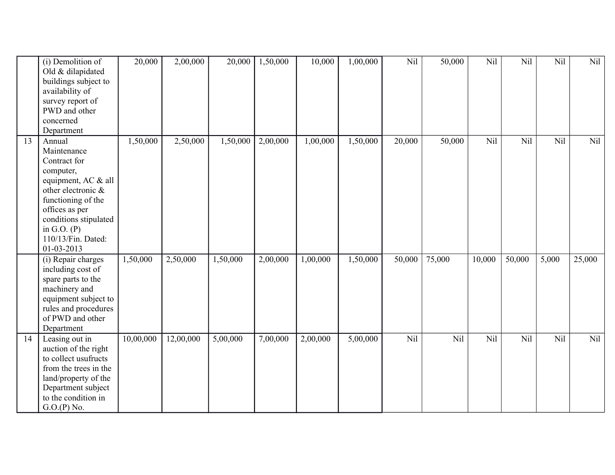|    | (i) Demolition of<br>Old & dilapidated<br>buildings subject to | 20,000    | 2,00,000  | 20,000   | 1,50,000 | 10,000   | 1,00,000 | Nil    | 50,000 | Nil    | Nil    | Nil   | Nil    |
|----|----------------------------------------------------------------|-----------|-----------|----------|----------|----------|----------|--------|--------|--------|--------|-------|--------|
|    | availability of                                                |           |           |          |          |          |          |        |        |        |        |       |        |
|    | survey report of                                               |           |           |          |          |          |          |        |        |        |        |       |        |
|    | PWD and other                                                  |           |           |          |          |          |          |        |        |        |        |       |        |
|    | concerned                                                      |           |           |          |          |          |          |        |        |        |        |       |        |
|    | Department                                                     |           |           |          |          |          |          |        |        |        |        |       |        |
| 13 | Annual                                                         | 1,50,000  | 2,50,000  | 1,50,000 | 2,00,000 | 1,00,000 | 1,50,000 | 20,000 | 50,000 | Nil    | Nil    | Nil   | Nil    |
|    | Maintenance                                                    |           |           |          |          |          |          |        |        |        |        |       |        |
|    | Contract for                                                   |           |           |          |          |          |          |        |        |        |        |       |        |
|    | computer,                                                      |           |           |          |          |          |          |        |        |        |        |       |        |
|    | equipment, AC & all                                            |           |           |          |          |          |          |        |        |        |        |       |        |
|    | other electronic &                                             |           |           |          |          |          |          |        |        |        |        |       |        |
|    | functioning of the                                             |           |           |          |          |          |          |        |        |        |        |       |        |
|    | offices as per                                                 |           |           |          |          |          |          |        |        |        |        |       |        |
|    | conditions stipulated                                          |           |           |          |          |          |          |        |        |        |        |       |        |
|    | in G.O. $(P)$                                                  |           |           |          |          |          |          |        |        |        |        |       |        |
|    | 110/13/Fin. Dated:                                             |           |           |          |          |          |          |        |        |        |        |       |        |
|    | 01-03-2013                                                     |           |           |          |          |          |          |        |        |        |        |       |        |
|    | (i) Repair charges                                             | 1,50,000  | 2,50,000  | 1,50,000 | 2,00,000 | 1,00,000 | 1,50,000 | 50,000 | 75,000 | 10,000 | 50,000 | 5,000 | 25,000 |
|    | including cost of                                              |           |           |          |          |          |          |        |        |        |        |       |        |
|    | spare parts to the                                             |           |           |          |          |          |          |        |        |        |        |       |        |
|    | machinery and                                                  |           |           |          |          |          |          |        |        |        |        |       |        |
|    | equipment subject to                                           |           |           |          |          |          |          |        |        |        |        |       |        |
|    | rules and procedures                                           |           |           |          |          |          |          |        |        |        |        |       |        |
|    | of PWD and other                                               |           |           |          |          |          |          |        |        |        |        |       |        |
|    | Department                                                     |           |           |          |          |          |          |        |        |        |        |       |        |
| 14 | Leasing out in                                                 | 10,00,000 | 12,00,000 | 5,00,000 | 7,00,000 | 2,00,000 | 5,00,000 | Nil    | Nil    | Nil    | Nil    | Nil   | Nil    |
|    | auction of the right                                           |           |           |          |          |          |          |        |        |        |        |       |        |
|    | to collect usufructs                                           |           |           |          |          |          |          |        |        |        |        |       |        |
|    | from the trees in the                                          |           |           |          |          |          |          |        |        |        |        |       |        |
|    | land/property of the                                           |           |           |          |          |          |          |        |        |        |        |       |        |
|    | Department subject                                             |           |           |          |          |          |          |        |        |        |        |       |        |
|    | to the condition in                                            |           |           |          |          |          |          |        |        |        |        |       |        |
|    | G.O.(P) No.                                                    |           |           |          |          |          |          |        |        |        |        |       |        |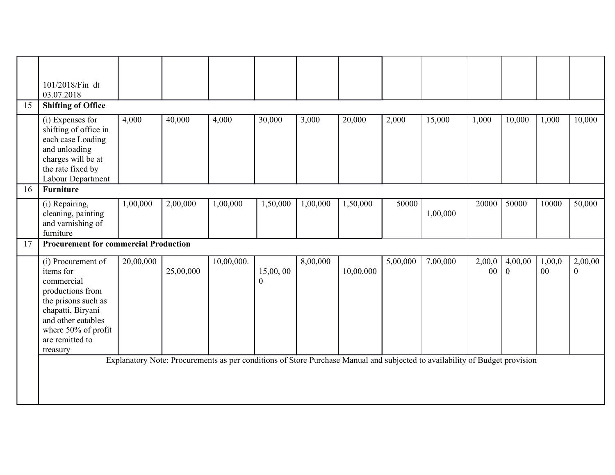|    | 101/2018/Fin dt<br>03.07.2018                                                                                                                                                             |           |                                                                                                                                          |            |                      |          |           |          |          |              |                           |                           |                           |
|----|-------------------------------------------------------------------------------------------------------------------------------------------------------------------------------------------|-----------|------------------------------------------------------------------------------------------------------------------------------------------|------------|----------------------|----------|-----------|----------|----------|--------------|---------------------------|---------------------------|---------------------------|
| 15 | <b>Shifting of Office</b>                                                                                                                                                                 |           |                                                                                                                                          |            |                      |          |           |          |          |              |                           |                           |                           |
|    | (i) Expenses for<br>shifting of office in<br>each case Loading<br>and unloading<br>charges will be at<br>the rate fixed by<br>Labour Department                                           | 4,000     | 40,000                                                                                                                                   | 4,000      | 30,000               | 3,000    | 20,000    | 2,000    | 15,000   | 1,000        | 10,000                    | 1,000                     | 10,000                    |
| 16 | <b>Furniture</b>                                                                                                                                                                          |           |                                                                                                                                          |            |                      |          |           |          |          |              |                           |                           |                           |
|    | (i) Repairing,<br>cleaning, painting<br>and varnishing of<br>furniture                                                                                                                    | 1,00,000  | 2,00,000                                                                                                                                 | 1,00,000   | 1,50,000             | 1,00,000 | 1,50,000  | 50000    | 1,00,000 | 20000        | 50000                     | 10000                     | 50,000                    |
| 17 | <b>Procurement for commercial Production</b>                                                                                                                                              |           |                                                                                                                                          |            |                      |          |           |          |          |              |                           |                           |                           |
|    | (i) Procurement of<br>items for<br>commercial<br>productions from<br>the prisons such as<br>chapatti, Biryani<br>and other eatables<br>where 50% of profit<br>are remitted to<br>treasury | 20,00,000 | 25,00,000<br>Explanatory Note: Procurements as per conditions of Store Purchase Manual and subjected to availability of Budget provision | 10,00,000. | 15,00,00<br>$\Omega$ | 8,00,000 | 10,00,000 | 5,00,000 | 7,00,000 | 2,00,0<br>00 | 4,00,00<br>$\overline{0}$ | 1,00,0<br>00 <sup>°</sup> | 2,00,00<br>$\overline{0}$ |
|    |                                                                                                                                                                                           |           |                                                                                                                                          |            |                      |          |           |          |          |              |                           |                           |                           |